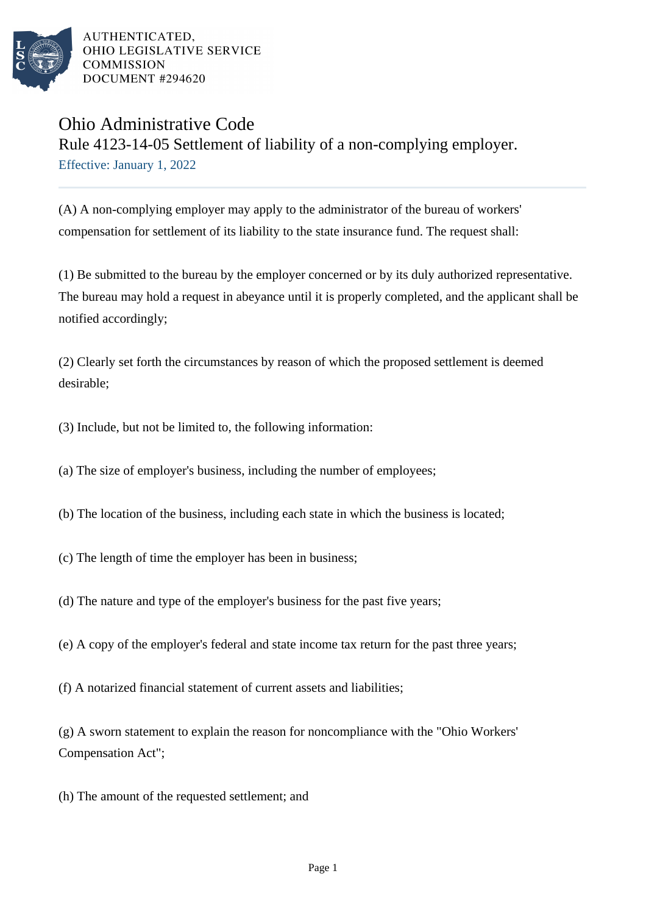

AUTHENTICATED. OHIO LEGISLATIVE SERVICE COMMISSION DOCUMENT #294620

## Ohio Administrative Code Rule 4123-14-05 Settlement of liability of a non-complying employer. Effective: January 1, 2022

(A) A non-complying employer may apply to the administrator of the bureau of workers' compensation for settlement of its liability to the state insurance fund. The request shall:

(1) Be submitted to the bureau by the employer concerned or by its duly authorized representative. The bureau may hold a request in abeyance until it is properly completed, and the applicant shall be notified accordingly;

(2) Clearly set forth the circumstances by reason of which the proposed settlement is deemed desirable;

(3) Include, but not be limited to, the following information:

(a) The size of employer's business, including the number of employees;

- (b) The location of the business, including each state in which the business is located;
- (c) The length of time the employer has been in business;
- (d) The nature and type of the employer's business for the past five years;
- (e) A copy of the employer's federal and state income tax return for the past three years;
- (f) A notarized financial statement of current assets and liabilities;

(g) A sworn statement to explain the reason for noncompliance with the "Ohio Workers' Compensation Act";

(h) The amount of the requested settlement; and